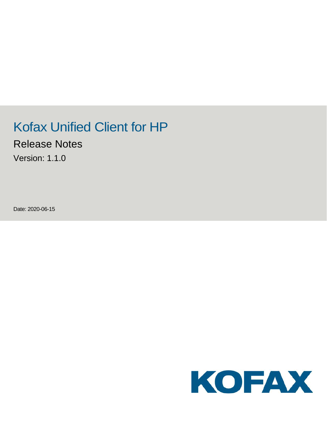# Kofax Unified Client for HP

Release Notes

Version: 1.1.0

Date: 2020-06-15

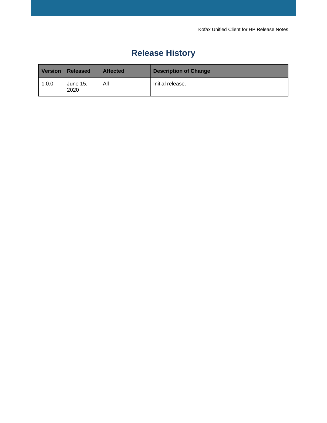## **Release History**

| <b>Version</b> | <b>Released</b>  | <b>Affected</b> | <b>Description of Change</b> |
|----------------|------------------|-----------------|------------------------------|
| 1.0.0          | June 15,<br>2020 | All             | Initial release.             |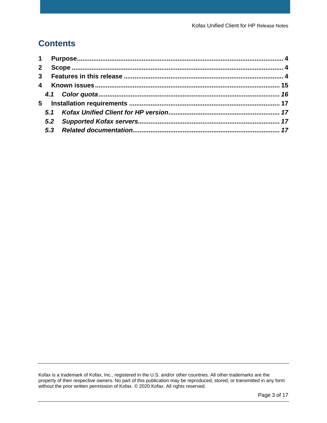## **Contents**

| $2^{\circ}$ |  |  |
|-------------|--|--|
|             |  |  |
|             |  |  |
|             |  |  |
|             |  |  |
|             |  |  |
|             |  |  |
|             |  |  |
|             |  |  |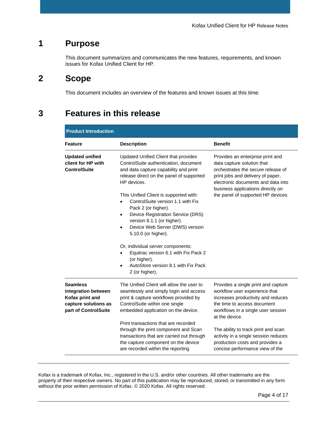#### <span id="page-3-0"></span>**1 Purpose**

This document summarizes and communicates the new features, requirements, and known issues for Kofax Unified Client for HP.

## <span id="page-3-1"></span>**2 Scope**

This document includes an overview of the features and known issues at this time.

## <span id="page-3-2"></span>**3 Features in this release**

| <b>Product Introduction</b>                                                                               |                                                                                                                                                                                                                                                                                                                                                                                                                                                                                                                                                                                                      |                                                                                                                                                                                                                                                                                                                                                        |  |  |
|-----------------------------------------------------------------------------------------------------------|------------------------------------------------------------------------------------------------------------------------------------------------------------------------------------------------------------------------------------------------------------------------------------------------------------------------------------------------------------------------------------------------------------------------------------------------------------------------------------------------------------------------------------------------------------------------------------------------------|--------------------------------------------------------------------------------------------------------------------------------------------------------------------------------------------------------------------------------------------------------------------------------------------------------------------------------------------------------|--|--|
| <b>Feature</b>                                                                                            | <b>Description</b>                                                                                                                                                                                                                                                                                                                                                                                                                                                                                                                                                                                   | <b>Benefit</b>                                                                                                                                                                                                                                                                                                                                         |  |  |
| <b>Updated unified</b><br>client for HP with<br><b>ControlSuite</b>                                       | Updated Unified Client that provides<br>ControlSuite authentication, document<br>and data capture capability and print<br>release direct on the panel of supported<br>HP devices.<br>This Unified Client is supported with:<br>ControlSuite version 1.1 with Fix<br>Pack 2 (or higher).<br>Device Registration Service (DRS)<br>$\bullet$<br>version 8.1.1 (or higher).<br>Device Web Server (DWS) version<br>$\bullet$<br>5.10.0 (or higher).<br>Or, individual server components:<br>Equitrac version 6.1 with Fix Pack 2<br>(or higher).<br>AutoStore version 8.1 with Fix Pack<br>2 (or higher). | Provides an enterprise print and<br>data capture solution that<br>orchestrates the secure release of<br>print jobs and delivery of paper,<br>electronic documents and data into<br>business applications directly on<br>the panel of supported HP devices.                                                                                             |  |  |
| <b>Seamless</b><br>integration between<br>Kofax print and<br>capture solutions as<br>part of ControlSuite | The Unified Client will allow the user to<br>seamlessly and simply login and access<br>print & capture workflows provided by<br>ControlSuite within one single<br>embedded application on the device.<br>Print transactions that are recorded<br>through the print component and Scan<br>transactions that are carried out through<br>the capture component on the device<br>are recorded within the reporting                                                                                                                                                                                       | Provides a single print and capture<br>workflow user experience that<br>increases productivity and reduces<br>the time to access document<br>workflows in a single user session<br>at the device.<br>The ability to track print and scan<br>activity in a single session reduces<br>production costs and provides a<br>concise performance view of the |  |  |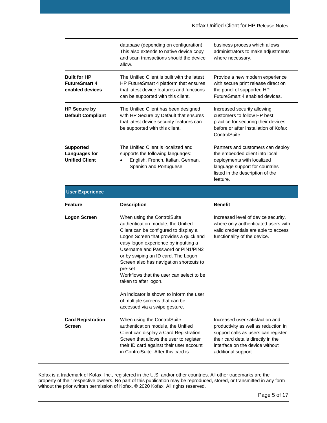|                                                                | database (depending on configuration).<br>This also extends to native device copy<br>and scan transactions should the device<br>allow.                                                                                                                                                                               | business process which allows<br>administrators to make adjustments<br>where necessary.                                                                                             |
|----------------------------------------------------------------|----------------------------------------------------------------------------------------------------------------------------------------------------------------------------------------------------------------------------------------------------------------------------------------------------------------------|-------------------------------------------------------------------------------------------------------------------------------------------------------------------------------------|
| <b>Built for HP</b><br><b>FutureSmart 4</b><br>enabled devices | The Unified Client is built with the latest<br>HP FutureSmart 4 platform that ensures<br>that latest device features and functions<br>can be supported with this client.                                                                                                                                             | Provide a new modern experience<br>with secure print release direct on<br>the panel of supported HP<br>FutureSmart 4 enabled devices.                                               |
| <b>HP Secure by</b><br><b>Default Compliant</b>                | The Unified Client has been designed<br>with HP Secure by Default that ensures<br>that latest device security features can<br>be supported with this client.                                                                                                                                                         | Increased security allowing<br>customers to follow HP best<br>practice for securing their devices<br>before or after installation of Kofax<br>ControlSuite.                         |
| <b>Supported</b><br>Languages for<br><b>Unified Client</b>     | The Unified Client is localized and<br>supports the following languages:<br>English, French, Italian, German,<br>Spanish and Portuguese                                                                                                                                                                              | Partners and customers can deploy<br>the embedded client into local<br>deployments with localized<br>language support for countries<br>listed in the description of the<br>feature. |
| <b>User Experience</b>                                         |                                                                                                                                                                                                                                                                                                                      |                                                                                                                                                                                     |
| <b>Feature</b>                                                 | <b>Description</b>                                                                                                                                                                                                                                                                                                   | <b>Benefit</b>                                                                                                                                                                      |
| <b>Logon Screen</b>                                            | When using the ControlSuite<br>authentication module, the Unified<br>Client can be configured to display a<br>Logon Screen that provides a quick and<br>easy logon experience by inputting a<br>Username and Password or PIN1/PIN2<br>or by swiping an ID card. The Logon<br>Screen also has navigation shortcuts to | Increased level of device security,<br>where only authenticated users with<br>valid credentials are able to access<br>functionality of the device.                                  |

Workflows that the user can select to be

An indicator is shown to inform the user

of multiple screens that can be accessed via a swipe gesture.

When using the ControlSuite authentication module, the Unified Client can display a Card Registration Screen that allows the user to register their ID card against their user account in ControlSuite. After this card is

pre-set

**Card Registration** 

**Screen**

taken to after logon.

Increased user satisfaction and productivity as well as reduction in support calls as users can register their card details directly in the interface on the device without

additional support.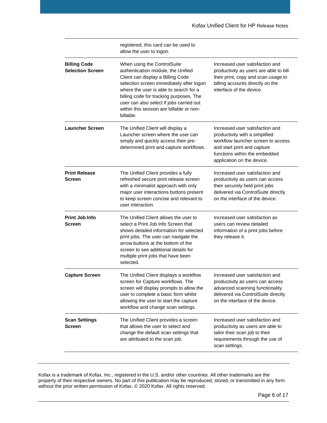|                                                | registered, this card can be used to<br>allow the user to logon.                                                                                                                                                                                                                                                                             |                                                                                                                                                                                                       |
|------------------------------------------------|----------------------------------------------------------------------------------------------------------------------------------------------------------------------------------------------------------------------------------------------------------------------------------------------------------------------------------------------|-------------------------------------------------------------------------------------------------------------------------------------------------------------------------------------------------------|
| <b>Billing Code</b><br><b>Selection Screen</b> | When using the ControlSuite<br>authentication module, the Unified<br>Client can display a Billing Code<br>selection screen immediately after logon<br>where the user is able to search for a<br>billing code for tracking purposes. The<br>user can also select if jobs carried out<br>within this session are billable or non-<br>billable. | Increased user satisfaction and<br>productivity as users are able to bill<br>their print, copy and scan usage to<br>billing accounts directly on the<br>interface of the device.                      |
| <b>Launcher Screen</b>                         | The Unified Client will display a<br>Launcher screen where the user can<br>simply and quickly access their pre-<br>determined print and capture workflows.                                                                                                                                                                                   | Increased user satisfaction and<br>productivity with a simplified<br>workflow launcher screen to access<br>and start print and capture<br>functions within the embedded<br>application on the device. |
| <b>Print Release</b><br><b>Screen</b>          | The Unified Client provides a fully<br>refreshed secure print release screen<br>with a minimalist approach with only<br>major user interactions buttons present<br>to keep screen concise and relevant to<br>user interaction.                                                                                                               | Increased user satisfaction and<br>productivity as users can access<br>their securely held print jobs<br>delivered via ControlSuite directly<br>on the interface of the device.                       |
| Print Job Info<br><b>Screen</b>                | The Unified Client allows the user to<br>select a Print Job Info Screen that<br>shows detailed information for selected<br>print jobs. The user can navigate the<br>arrow buttons at the bottom of the<br>screen to see additional details for<br>multiple print jobs that have been<br>selected.                                            | Increased user satisfaction as<br>users can review detailed<br>information of a print jobs before<br>they release it.                                                                                 |
| <b>Capture Screen</b>                          | The Unified Client displays a workflow<br>screen for Capture workflows. The<br>screen will display prompts to allow the<br>user to complete a basic form whilst<br>allowing the user to start the capture<br>workflow and change scan settings.                                                                                              | Increased user satisfaction and<br>productivity as users can access<br>advanced scanning functionality<br>delivered via ControlSuite directly<br>on the interface of the device.                      |
| <b>Scan Settings</b><br><b>Screen</b>          | The Unified Client provides a screen<br>that allows the user to select and<br>change the default scan settings that<br>are attributed to the scan job.                                                                                                                                                                                       | Increased user satisfaction and<br>productivity as users are able to<br>tailor their scan job to their<br>requirements through the use of<br>scan settings.                                           |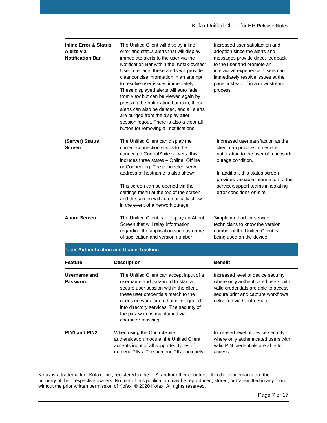| <b>Inline Error &amp; Status</b><br>Alerts via<br><b>Notification Bar</b> | The Unified Client will display inline<br>error and status alerts that will display<br>immediate alerts to the user via the<br>Notification Bar within the 'Kofax-owned'<br>User Interface, these alerts will provide<br>clear concise information in an attempt<br>to resolve user issues immediately.<br>These displayed alerts will auto fade<br>from view but can be viewed again by<br>pressing the notification bar icon, these<br>alerts can also be deleted, and all alerts<br>are purged from the display after<br>session logout. There is also a clear all<br>button for removing all notifications. | Increased user satisfaction and<br>adoption since the alerts and<br>messages provide direct feedback<br>to the user and promote an<br>interactive experience. Users can<br>immediately resolve issues at the<br>panel instead of in a downstream<br>process.                   |
|---------------------------------------------------------------------------|-----------------------------------------------------------------------------------------------------------------------------------------------------------------------------------------------------------------------------------------------------------------------------------------------------------------------------------------------------------------------------------------------------------------------------------------------------------------------------------------------------------------------------------------------------------------------------------------------------------------|--------------------------------------------------------------------------------------------------------------------------------------------------------------------------------------------------------------------------------------------------------------------------------|
| (Server) Status<br><b>Screen</b>                                          | The Unified Client can display the<br>current connection status to the<br>connected ControlSuite servers, this<br>includes three states - Online, Offline<br>or Connecting. The connected server<br>address or hostname is also shown.<br>This screen can be opened via the<br>settings menu at the top of the screen<br>and the screen will automatically show<br>in the event of a network outage.                                                                                                                                                                                                            | Increased user satisfaction as the<br>client can provide immediate<br>notification to the user of a network<br>outage condition.<br>In addition, this status screen<br>provides valuable information to the<br>service/support teams in isolating<br>error conditions on-site. |
| <b>About Screen</b>                                                       | The Unified Client can display an About<br>Screen that will relay information<br>regarding the application such as name<br>of application and version number.                                                                                                                                                                                                                                                                                                                                                                                                                                                   | Simple method for service<br>technicians to know the version<br>number of the Unified Client is<br>being used on the device.                                                                                                                                                   |
|                                                                           | <b>User Authentication and Usage Tracking</b>                                                                                                                                                                                                                                                                                                                                                                                                                                                                                                                                                                   |                                                                                                                                                                                                                                                                                |
| <b>Feature</b>                                                            | <b>Description</b>                                                                                                                                                                                                                                                                                                                                                                                                                                                                                                                                                                                              | <b>Benefit</b>                                                                                                                                                                                                                                                                 |
| Username and<br>Password                                                  | The Unified Client can accept input of a<br>username and password to start a<br>secure user session within the client,<br>these user credentials match to the<br>user's network logon that is integrated<br>into directory services. The security of<br>the password is maintained via<br>character masking.                                                                                                                                                                                                                                                                                                    | Increased level of device security<br>where only authenticated users with<br>valid credentials are able to access<br>secure print and capture workflows<br>delivered via ControlSuite.                                                                                         |
| <b>PIN1 and PIN2</b>                                                      | When using the ControlSuite<br>authentication module, the Unified Client<br>accepts input of all supported types of<br>numeric PINs. The numeric PINs uniquely                                                                                                                                                                                                                                                                                                                                                                                                                                                  | Increased level of device security<br>where only authenticated users with<br>valid PIN credentials are able to<br>access                                                                                                                                                       |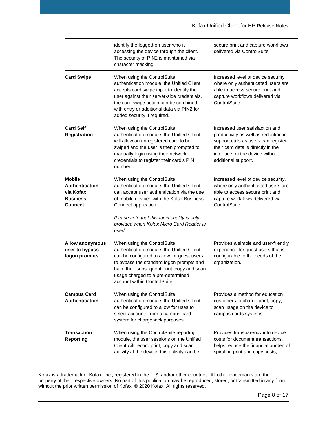|                                                                                   | identify the logged-on user who is<br>accessing the device through the client.<br>The security of PIN2 is maintained via<br>character masking.                                                                                                                                                  | secure print and capture workflows<br>delivered via ControlSuite.                                                                                                                                              |
|-----------------------------------------------------------------------------------|-------------------------------------------------------------------------------------------------------------------------------------------------------------------------------------------------------------------------------------------------------------------------------------------------|----------------------------------------------------------------------------------------------------------------------------------------------------------------------------------------------------------------|
| <b>Card Swipe</b>                                                                 | When using the ControlSuite<br>authentication module, the Unified Client<br>accepts card swipe input to identify the<br>user against their server-side credentials,<br>the card swipe action can be combined<br>with entry or additional data via PIN2 for<br>added security if required.       | Increased level of device security<br>where only authenticated users are<br>able to access secure print and<br>capture workflows delivered via<br>ControlSuite.                                                |
| <b>Card Self</b><br><b>Registration</b>                                           | When using the ControlSuite<br>authentication module, the Unified Client<br>will allow an unregistered card to be<br>swiped and the user is then prompted to<br>manually login using their network<br>credentials to register their card's PIN<br>number.                                       | Increased user satisfaction and<br>productivity as well as reduction in<br>support calls as users can register<br>their card details directly in the<br>interface on the device without<br>additional support. |
| <b>Mobile</b><br>Authentication<br>via Kofax<br><b>Business</b><br><b>Connect</b> | When using the ControlSuite<br>authentication module, the Unified Client<br>can accept user authentication via the use<br>of mobile devices with the Kofax Business<br>Connect application.<br>Please note that this functionality is only<br>provided when Kofax Micro Card Reader is<br>used. | Increased level of device security,<br>where only authenticated users are<br>able to access secure print and<br>capture workflows delivered via<br>ControlSuite.                                               |
| <b>Allow anonymous</b><br>user to bypass<br>logon prompts                         | When using the ControlSuite<br>authentication module, the Unified Client<br>can be configured to allow for guest users<br>to bypass the standard logon prompts and<br>have their subsequent print, copy and scan<br>usage charged to a pre-determined<br>account within ControlSuite.           | Provides a simple and user-friendly<br>experience for guest users that is<br>configurable to the needs of the<br>organization.                                                                                 |
| <b>Campus Card</b><br><b>Authentication</b>                                       | When using the ControlSuite<br>authentication module, the Unified Client<br>can be configured to allow for uses to<br>select accounts from a campus card<br>system for chargeback purposes.                                                                                                     | Provides a method for education<br>customers to charge print, copy,<br>scan usage on the device to<br>campus cards systems.                                                                                    |
| <b>Transaction</b><br><b>Reporting</b>                                            | When using the ControlSuite reporting<br>module, the user sessions on the Unified<br>Client will record print, copy and scan<br>activity at the device, this activity can be                                                                                                                    | Provides transparency into device<br>costs for document transactions,<br>helps reduce the financial burden of<br>spiraling print and copy costs,                                                               |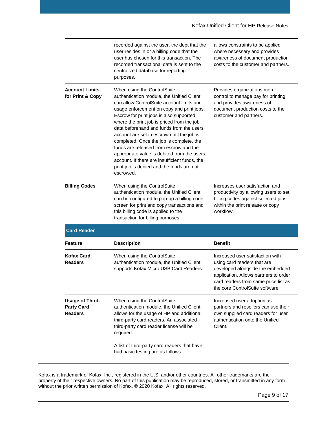|                                                               | recorded against the user, the dept that the<br>user resides in or a billing code that the<br>user has chosen for this transaction. The<br>recorded transactional data is sent to the<br>centralized database for reporting<br>purposes.                                                                                                                                                                                                                                                                                                                                                               | allows constraints to be applied<br>where necessary and provides<br>awareness of document production<br>costs to the customer and partners.                                                                             |
|---------------------------------------------------------------|--------------------------------------------------------------------------------------------------------------------------------------------------------------------------------------------------------------------------------------------------------------------------------------------------------------------------------------------------------------------------------------------------------------------------------------------------------------------------------------------------------------------------------------------------------------------------------------------------------|-------------------------------------------------------------------------------------------------------------------------------------------------------------------------------------------------------------------------|
| <b>Account Limits</b><br>for Print & Copy                     | When using the ControlSuite<br>authentication module, the Unified Client<br>can allow ControlSuite account limits and<br>usage enforcement on copy and print jobs.<br>Escrow for print jobs is also supported,<br>where the print job is priced from the job<br>data beforehand and funds from the users<br>account are set in escrow until the job is<br>completed. Once the job is complete, the<br>funds are released from escrow and the<br>appropriate value is debited from the users<br>account. If there are insufficient funds, the<br>print job is denied and the funds are not<br>escrowed. | Provides organizations more<br>control to manage pay for printing<br>and provides awareness of<br>document production costs to the<br>customer and partners.                                                            |
| <b>Billing Codes</b>                                          | When using the ControlSuite<br>authentication module, the Unified Client<br>can be configured to pop-up a billing code<br>screen for print and copy transactions and<br>this billing code is applied to the<br>transaction for billing purposes.                                                                                                                                                                                                                                                                                                                                                       | Increases user satisfaction and<br>productivity by allowing users to set<br>billing codes against selected jobs<br>within the print release or copy<br>workflow.                                                        |
| <b>Card Reader</b>                                            |                                                                                                                                                                                                                                                                                                                                                                                                                                                                                                                                                                                                        |                                                                                                                                                                                                                         |
| Feature                                                       | <b>Description</b>                                                                                                                                                                                                                                                                                                                                                                                                                                                                                                                                                                                     | <b>Benefit</b>                                                                                                                                                                                                          |
| <b>Kofax Card</b><br><b>Readers</b>                           | When using the ControlSuite<br>authentication module, the Unified Client<br>supports Kofax Micro USB Card Readers.                                                                                                                                                                                                                                                                                                                                                                                                                                                                                     | Increased user satisfaction with<br>using card readers that are<br>developed alongside the embedded<br>application. Allows partners to order<br>card readers from same price list as<br>the core ControlSuite software. |
| <b>Usage of Third-</b><br><b>Party Card</b><br><b>Readers</b> | When using the ControlSuite<br>authentication module, the Unified Client<br>allows for the usage of HP and additional<br>third-party card readers. An associated<br>third-party card reader license will be<br>required.                                                                                                                                                                                                                                                                                                                                                                               | Increased user adoption as<br>partners and resellers can use their<br>own supplied card readers for user<br>authentication onto the Unified<br>Client.                                                                  |
|                                                               | A list of third-party card readers that have<br>had basic testing are as follows:                                                                                                                                                                                                                                                                                                                                                                                                                                                                                                                      |                                                                                                                                                                                                                         |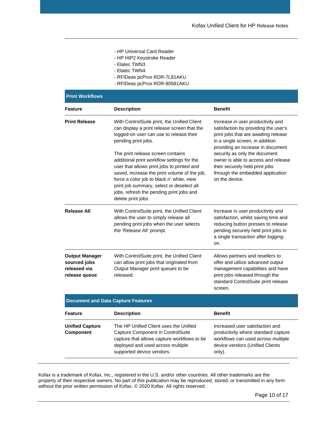- HP Universal Card Reader
- HP HIP2 Keystroke Reader
- Elatec TWN3
- Elatec TWN4
- RFIDeas pcProx RDR-7L81AKU
- RFIDeas pcProx RDR-80581AKU

| <b>Print Workflows</b>                                                 |                                                                                                                                                                                                                                                                                                                                                                                                                                                                                                           |                                                                                                                                                                                                                                                                                                                                                           |  |  |
|------------------------------------------------------------------------|-----------------------------------------------------------------------------------------------------------------------------------------------------------------------------------------------------------------------------------------------------------------------------------------------------------------------------------------------------------------------------------------------------------------------------------------------------------------------------------------------------------|-----------------------------------------------------------------------------------------------------------------------------------------------------------------------------------------------------------------------------------------------------------------------------------------------------------------------------------------------------------|--|--|
| <b>Feature</b>                                                         | <b>Description</b>                                                                                                                                                                                                                                                                                                                                                                                                                                                                                        | <b>Benefit</b>                                                                                                                                                                                                                                                                                                                                            |  |  |
| <b>Print Release</b>                                                   | With ControlSuite print, the Unified Client<br>can display a print release screen that the<br>logged-on user can use to release their<br>pending print jobs.<br>The print release screen contains<br>additional print workflow settings for the<br>user that allows print jobs to printed and<br>saved, increase the print volume of the job,<br>force a color job to black n' white, view<br>print job summary, select or deselect all<br>jobs, refresh the pending print jobs and<br>delete print jobs. | Increase in user productivity and<br>satisfaction by providing the user's<br>print jobs that are awaiting release<br>in a single screen, in addition<br>providing an increase in document<br>security as only the document<br>owner is able to access and release<br>their securely held print jobs<br>through the embedded application<br>on the device. |  |  |
| <b>Release All</b>                                                     | With ControlSuite print, the Unified Client<br>allows the user to simply release all<br>pending print jobs when the user selects<br>the 'Release All' prompt.                                                                                                                                                                                                                                                                                                                                             | Increase in user productivity and<br>satisfaction, whilst saving time and<br>reducing button presses to release<br>pending securely held print jobs in<br>a single transaction after logging-<br>on.                                                                                                                                                      |  |  |
| <b>Output Manager</b><br>sourced jobs<br>released via<br>release queue | With ControlSuite print, the Unified Client<br>can allow print jobs that originated from<br>Output Manager print queues to be<br>released.                                                                                                                                                                                                                                                                                                                                                                | Allows partners and resellers to<br>offer and utilize advanced output<br>management capabilities and have<br>print jobs released through the<br>standard ControlSuite print release<br>screen,                                                                                                                                                            |  |  |
|                                                                        | <b>Document and Data Capture Features</b>                                                                                                                                                                                                                                                                                                                                                                                                                                                                 |                                                                                                                                                                                                                                                                                                                                                           |  |  |
| <b>Feature</b>                                                         | <b>Description</b>                                                                                                                                                                                                                                                                                                                                                                                                                                                                                        | <b>Benefit</b>                                                                                                                                                                                                                                                                                                                                            |  |  |
| <b>Unified Capture</b><br>Component                                    | The HP Unified Client uses the Unified<br>Capture Component in ControlSuite<br>capture that allows capture workflows to be<br>deployed and used across multiple<br>supported device vendors.                                                                                                                                                                                                                                                                                                              | Increased user satisfaction and<br>productivity where standard capture<br>workflows can used across multiple<br>device vendors (Unified Clients<br>only).                                                                                                                                                                                                 |  |  |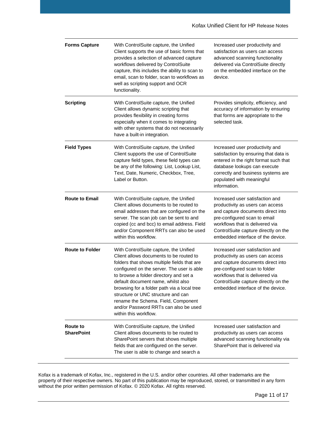| <b>Forms Capture</b>                 | With ControlSuite capture, the Unified<br>Client supports the use of basic forms that<br>provides a selection of advanced capture<br>workflows delivered by ControlSuite<br>capture, this includes the ability to scan to<br>email, scan to folder, scan to workflows as<br>well as scripting support and OCR<br>functionality.                                                                                                                              | Increased user productivity and<br>satisfaction as users can access<br>advanced scanning functionality<br>delivered via ControlSuite directly<br>on the embedded interface on the<br>device.                                                              |
|--------------------------------------|--------------------------------------------------------------------------------------------------------------------------------------------------------------------------------------------------------------------------------------------------------------------------------------------------------------------------------------------------------------------------------------------------------------------------------------------------------------|-----------------------------------------------------------------------------------------------------------------------------------------------------------------------------------------------------------------------------------------------------------|
| <b>Scripting</b>                     | With ControlSuite capture, the Unified<br>Client allows dynamic scripting that<br>provides flexibility in creating forms<br>especially when it comes to integrating<br>with other systems that do not necessarily<br>have a built-in integration.                                                                                                                                                                                                            | Provides simplicity, efficiency, and<br>accuracy of information by ensuring<br>that forms are appropriate to the<br>selected task.                                                                                                                        |
| <b>Field Types</b>                   | With ControlSuite capture, the Unified<br>Client supports the use of ControlSuite<br>capture field types, these field types can<br>be any of the following: List, Lookup List,<br>Text, Date, Numeric, Checkbox, Tree,<br>Label or Button.                                                                                                                                                                                                                   | Increased user productivity and<br>satisfaction by ensuring that data is<br>entered in the right format such that<br>database lookups can execute<br>correctly and business systems are<br>populated with meaningful<br>information.                      |
| <b>Route to Email</b>                | With ControlSuite capture, the Unified<br>Client allows documents to be routed to<br>email addresses that are configured on the<br>server. The scan job can be sent to and<br>copied (cc and bcc) to email address. Field<br>and/or Component RRTs can also be used<br>within this workflow.                                                                                                                                                                 | Increased user satisfaction and<br>productivity as users can access<br>and capture documents direct into<br>pre-configured scan to email<br>workflows that is delivered via<br>ControlSuite capture directly on the<br>embedded interface of the device.  |
| <b>Route to Folder</b>               | With ControlSuite capture, the Unified<br>Client allows documents to be routed to<br>folders that shows multiple fields that are<br>configured on the server. The user is able<br>to browse a folder directory and set a<br>default document name, whilst also<br>browsing for a folder path via a local tree<br>structure or UNC structure and can<br>rename the Schema. Field, Component<br>and/or Password RRTs can also be used<br>within this workflow. | Increased user satisfaction and<br>productivity as users can access<br>and capture documents direct into<br>pre-configured scan to folder<br>workflows that is delivered via<br>ControlSuite capture directly on the<br>embedded interface of the device. |
| <b>Route to</b><br><b>SharePoint</b> | With ControlSuite capture, the Unified<br>Client allows documents to be routed to<br>SharePoint servers that shows multiple<br>fields that are configured on the server.<br>The user is able to change and search a                                                                                                                                                                                                                                          | Increased user satisfaction and<br>productivity as users can access<br>advanced scanning functionality via<br>SharePoint that is delivered via                                                                                                            |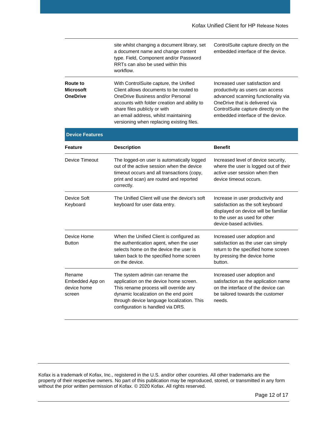|                                                        | site whilst changing a document library, set<br>a document name and change content<br>type. Field, Component and/or Password<br>RRTs can also be used within this<br>workflow.                                                                                                              | ControlSuite capture directly on the<br>embedded interface of the device.                                                                                                                                                 |
|--------------------------------------------------------|---------------------------------------------------------------------------------------------------------------------------------------------------------------------------------------------------------------------------------------------------------------------------------------------|---------------------------------------------------------------------------------------------------------------------------------------------------------------------------------------------------------------------------|
| <b>Route to</b><br><b>Microsoft</b><br><b>OneDrive</b> | With ControlSuite capture, the Unified<br>Client allows documents to be routed to<br>OneDrive Business and/or Personal<br>accounts with folder creation and ability to<br>share files publicly or with<br>an email address, whilst maintaining<br>versioning when replacing existing files. | Increased user satisfaction and<br>productivity as users can access<br>advanced scanning functionality via<br>OneDrive that is delivered via<br>ControlSuite capture directly on the<br>embedded interface of the device. |
| <b>Device Features</b>                                 |                                                                                                                                                                                                                                                                                             |                                                                                                                                                                                                                           |
| <b>Feature</b>                                         | <b>Description</b>                                                                                                                                                                                                                                                                          | <b>Benefit</b>                                                                                                                                                                                                            |
| Device Timeout                                         | The logged-on user is automatically logged<br>out of the active session when the device<br>timeout occurs and all transactions (copy,<br>print and scan) are routed and reported<br>correctly.                                                                                              | Increased level of device security,<br>where the user is logged out of their<br>active user session when then<br>device timeout occurs.                                                                                   |
| Device Soft<br>Keyboard                                | The Unified Client will use the device's soft<br>keyboard for user data entry.                                                                                                                                                                                                              | Increase in user productivity and<br>satisfaction as the soft keyboard<br>displayed on device will be familiar<br>to the user as used for other<br>device-based activities.                                               |
| Device Home<br><b>Button</b>                           | When the Unified Client is configured as<br>the authentication agent, when the user<br>selects home on the device the user is<br>taken back to the specified home screen<br>on the device.                                                                                                  | Increased user adoption and<br>satisfaction as the user can simply<br>return to the specified home screen<br>by pressing the device home<br>button.                                                                       |
| Rename<br>Embedded App on<br>device home<br>screen     | The system admin can rename the<br>application on the device home screen.<br>This rename process will override any<br>dynamic localization on the end point<br>through device language localization. This<br>configuration is handled via DRS.                                              | Increased user adoption and<br>satisfaction as the application name<br>on the interface of the device can<br>be tailored towards the customer<br>needs.                                                                   |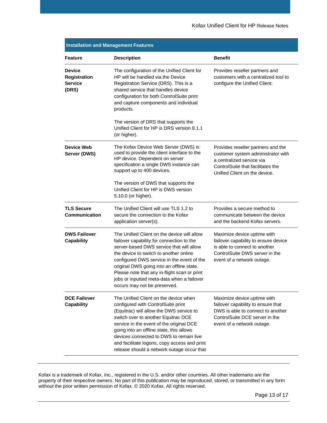| <b>Installation and Management Features</b>                     |                                                                                                                                                                                                                                                                                                                                                                                                         |                                                                                                                                                                             |  |  |
|-----------------------------------------------------------------|---------------------------------------------------------------------------------------------------------------------------------------------------------------------------------------------------------------------------------------------------------------------------------------------------------------------------------------------------------------------------------------------------------|-----------------------------------------------------------------------------------------------------------------------------------------------------------------------------|--|--|
| <b>Feature</b>                                                  | <b>Description</b>                                                                                                                                                                                                                                                                                                                                                                                      | <b>Benefit</b>                                                                                                                                                              |  |  |
| <b>Device</b><br><b>Registration</b><br><b>Service</b><br>(DRS) | The configuration of the Unified Client for<br>HP will be handled via the Device<br>Registration Service (DRS). This is a<br>shared service that handles device<br>configuration for both ControlSuite print<br>and capture components and individual<br>products.                                                                                                                                      | Provides reseller partners and<br>customers with a centralized tool to<br>configure the Unified Client.                                                                     |  |  |
|                                                                 | The version of DRS that supports the<br>Unified Client for HP is DRS version 8.1.1<br>(or higher).                                                                                                                                                                                                                                                                                                      |                                                                                                                                                                             |  |  |
| Device Web<br>Server (DWS)                                      | The Kofax Device Web Server (DWS) is<br>used to provide the client interface to the<br>HP device. Dependent on server<br>specification a single DWS instance can<br>support up to 400 devices.                                                                                                                                                                                                          | Provides reseller partners and the<br>customer system administrator with<br>a centralized service via<br>ControlSuite that facilitates the<br>Unified Client on the device. |  |  |
|                                                                 | The version of DWS that supports the<br>Unified Client for HP is DWS version<br>5.10.0 (or higher).                                                                                                                                                                                                                                                                                                     |                                                                                                                                                                             |  |  |
| <b>TLS Secure</b><br><b>Communication</b>                       | The Unified Client will use TLS 1.2 to<br>secure the connection to the Kofax<br>application server(s).                                                                                                                                                                                                                                                                                                  | Provides a secure method to<br>communicate between the device<br>and the backend Kofax servers.                                                                             |  |  |
| <b>DWS Failover</b><br><b>Capability</b>                        | The Unified Client on the device will allow<br>failover capability for connection to the<br>server-based DWS service that will allow<br>the device to switch to another online<br>configured DWS service in the event of the<br>original DWS going into an offline state.<br>Please note that any in-flight scan or print<br>jobs or inputted meta-data when a failover<br>occurs may not be preserved. | Maximize device uptime with<br>failover capability to ensure device<br>is able to connect to another<br>ControlSuite DWS server in the<br>event of a network outage.        |  |  |
| <b>DCE Failover</b><br><b>Capability</b>                        | The Unified Client on the device when<br>configured with ControlSuite print<br>(Equitrac) will allow the DWS service to<br>switch over to another Equitrac DCE<br>service in the event of the original DCE<br>going into an offline state, this allows<br>devices connected to DWS to remain live<br>and facilitate logons, copy access and print<br>release should a network outage occur that         | Maximize device uptime with<br>failover capability to ensure that<br>DWS is able to connect to another<br>ControlSuite DCE server in the<br>event of a network outage.      |  |  |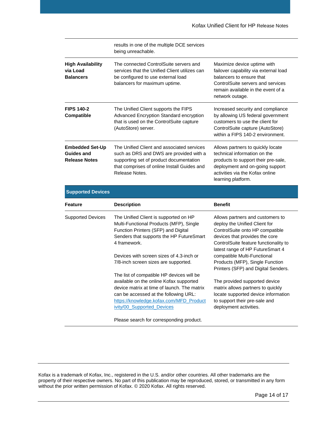|                                                              | results in one of the multiple DCE services<br>being unreachable.                                                                                                                                                                                                       |                                                                                                                                                                                                                                                                                                                              |
|--------------------------------------------------------------|-------------------------------------------------------------------------------------------------------------------------------------------------------------------------------------------------------------------------------------------------------------------------|------------------------------------------------------------------------------------------------------------------------------------------------------------------------------------------------------------------------------------------------------------------------------------------------------------------------------|
| <b>High Availability</b><br>via Load<br><b>Balancers</b>     | The connected ControlSuite servers and<br>services that the Unified Client utilizes can<br>be configured to use external load<br>balancers for maximum uptime.                                                                                                          | Maximize device uptime with<br>failover capability via external load<br>balancers to ensure that<br>ControlSuite servers and services<br>remain available in the event of a<br>network outage.                                                                                                                               |
| <b>FIPS 140-2</b><br>Compatible                              | The Unified Client supports the FIPS<br>Advanced Encryption Standard encryption<br>that is used on the ControlSuite capture<br>(AutoStore) server.                                                                                                                      | Increased security and compliance<br>by allowing US federal government<br>customers to use the client for<br>ControlSuite capture (AutoStore)<br>within a FIPS 140-2 environment.                                                                                                                                            |
| <b>Embedded Set-Up</b><br>Guides and<br><b>Release Notes</b> | The Unified Client and associated services<br>such as DRS and DWS are provided with a<br>supporting set of product documentation<br>that comprises of online Install Guides and<br>Release Notes.                                                                       | Allows partners to quickly locate<br>technical information on the<br>products to support their pre-sale,<br>deployment and on-going support<br>activities via the Kofax online<br>learning platform.                                                                                                                         |
| <b>Supported Devices</b>                                     |                                                                                                                                                                                                                                                                         |                                                                                                                                                                                                                                                                                                                              |
| <b>Feature</b>                                               | <b>Description</b>                                                                                                                                                                                                                                                      | <b>Benefit</b>                                                                                                                                                                                                                                                                                                               |
| <b>Supported Devices</b>                                     | The Unified Client is supported on HP<br>Multi-Functional Products (MFP), Single<br>Function Printers (SFP) and Digital<br>Senders that supports the HP FutureSmart<br>4 framework.<br>Devices with screen sizes of 4.3-inch or<br>7/8-inch screen sizes are supported. | Allows partners and customers to<br>deploy the Unified Client for<br>ControlSuite onto HP compatible<br>devices that provides the core<br>ControlSuite feature functionality to<br>latest range of HP FutureSmart 4<br>compatible Multi-Functional<br>Products (MFP), Single Function<br>Printers (SFP) and Digital Senders. |
|                                                              | The list of compatible HP devices will be<br>available on the online Kofax supported<br>device matrix at time of launch. The matrix<br>can be accessed at the following URL:<br>https://knowledge.kofax.com/MFD_Product<br>ivity/00 Supported Devices                   | The provided supported device<br>matrix allows partners to quickly<br>locate supported device information<br>to support their pre-sale and<br>deployment activities.                                                                                                                                                         |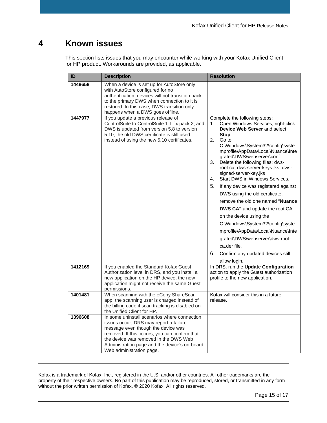## <span id="page-14-0"></span>**4 Known issues**

This section lists issues that you may encounter while working with your Kofax Unified Client for HP product. Workarounds are provided, as applicable.

| ID      | <b>Description</b>                                                                                                                                                                                                                                                                                  | <b>Resolution</b>                                                                                                                                                                                                                                                                                                                                                                                                                                                                                                                                                                                                                                                                                                                                                   |
|---------|-----------------------------------------------------------------------------------------------------------------------------------------------------------------------------------------------------------------------------------------------------------------------------------------------------|---------------------------------------------------------------------------------------------------------------------------------------------------------------------------------------------------------------------------------------------------------------------------------------------------------------------------------------------------------------------------------------------------------------------------------------------------------------------------------------------------------------------------------------------------------------------------------------------------------------------------------------------------------------------------------------------------------------------------------------------------------------------|
| 1448658 | When a device is set up for AutoStore only<br>with AutoStore configured for no<br>authentication, devices will not transition back<br>to the primary DWS when connection to it is<br>restored. In this case, DWS transition only<br>happens when a DWS goes offline.                                |                                                                                                                                                                                                                                                                                                                                                                                                                                                                                                                                                                                                                                                                                                                                                                     |
| 1447977 | If you update a previous release of<br>ControlSuite to ControlSuite 1.1 fix pack 2, and<br>DWS is updated from version 5.8 to version<br>5.10, the old DWS certificate is still used<br>instead of using the new 5.10 certificates.                                                                 | Complete the following steps:<br>Open Windows Services, right-click<br>1.<br>Device Web Server and select<br>Stop.<br>Go to<br>2.<br>C:\Windows\System32\config\syste<br>mprofile\AppData\Local\Nuance\Inte<br>grated\DWS\webserver\conf.<br>Delete the following files: dws-<br>3.<br>root.ca, dws-server-keys.jks, dws-<br>signed-server-key.jks<br>Start DWS in Windows Services.<br>4.<br>5.<br>If any device was registered against<br>DWS using the old certificate,<br>remove the old one named "Nuance"<br>DWS CA" and update the root CA<br>on the device using the<br>C:\Windows\System32\config\syste<br>mprofile\AppData\Local\Nuance\Inte<br>grated\DWS\webserver\dws-root-<br>ca.der file.<br>6.<br>Confirm any updated devices still<br>allow login. |
| 1412169 | If you enabled the Standard Kofax Guest<br>Authorization level in DRS, and you install a<br>new application on the HP device, the new<br>application might not receive the same Guest<br>permissions.                                                                                               | In DRS, run the Update Configuration<br>action to apply the Guest authorization<br>profile to the new application.                                                                                                                                                                                                                                                                                                                                                                                                                                                                                                                                                                                                                                                  |
| 1401481 | When scanning with the eCopy ShareScan<br>app, the scanning user is charged instead of<br>the billing code if scan tracking is disabled on<br>the Unified Client for HP.                                                                                                                            | Kofax will consider this in a future<br>release.                                                                                                                                                                                                                                                                                                                                                                                                                                                                                                                                                                                                                                                                                                                    |
| 1396608 | In some uninstall scenarios where connection<br>issues occur, DRS may report a failure<br>message even though the device was<br>removed. If this occurs, you can confirm that<br>the device was removed in the DWS Web<br>Administration page and the device's on-board<br>Web administration page. |                                                                                                                                                                                                                                                                                                                                                                                                                                                                                                                                                                                                                                                                                                                                                                     |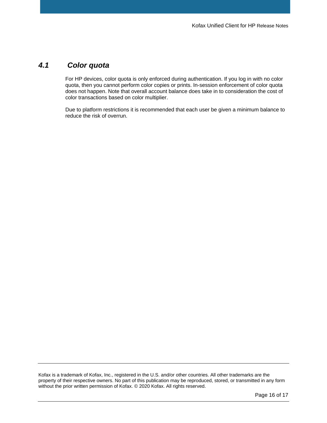#### *4.1 Color quota*

<span id="page-15-0"></span>For HP devices, color quota is only enforced during authentication. If you log in with no color quota, then you cannot perform color copies or prints. In-session enforcement of color quota does not happen. Note that overall account balance does take in to consideration the cost of color transactions based on color multiplier.

Due to platform restrictions it is recommended that each user be given a minimum balance to reduce the risk of overrun.